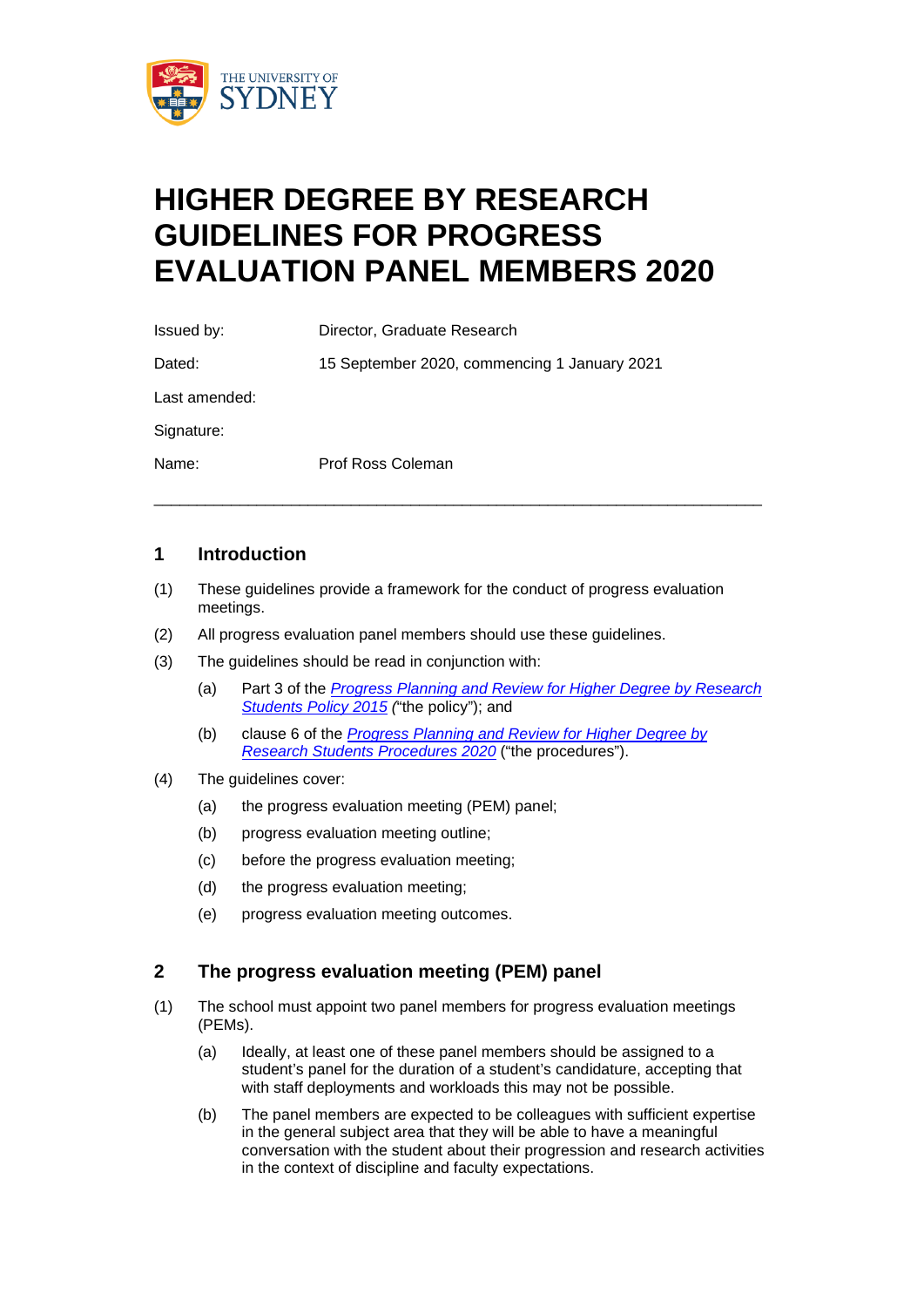

# **HIGHER DEGREE BY RESEARCH GUIDELINES FOR PROGRESS EVALUATION PANEL MEMBERS 2020**

| Issued by:    | Director, Graduate Research                  |
|---------------|----------------------------------------------|
| Dated:        | 15 September 2020, commencing 1 January 2021 |
| Last amended: |                                              |
| Signature:    |                                              |
| Name:         | Prof Ross Coleman                            |

#### **1 Introduction**

(1) These guidelines provide a framework for the conduct of progress evaluation meetings.

\_\_\_\_\_\_\_\_\_\_\_\_\_\_\_\_\_\_\_\_\_\_\_\_\_\_\_\_\_\_\_\_\_\_\_\_\_\_\_\_\_\_\_\_\_\_\_\_\_\_\_\_\_\_\_\_\_\_\_\_\_\_\_\_\_\_\_\_\_\_\_

- (2) All progress evaluation panel members should use these guidelines.
- (3) The guidelines should be read in conjunction with:
	- (a) Part 3 of the *[Progress Planning and Review for Higher Degree by Research](http://sydney.edu.au/policies/showdoc.aspx?recnum=PDOC2015/403&RendNum=0)  [Students Policy 2015](http://sydney.edu.au/policies/showdoc.aspx?recnum=PDOC2015/403&RendNum=0) (*"the policy"); and
	- (b) clause 6 of the *[Progress Planning and Review for Higher Degree by](http://sydney.edu.au/policies/showdoc.aspx?recnum=PDOC2015/402&RendNum=0)  [Research Students Procedures 2020](http://sydney.edu.au/policies/showdoc.aspx?recnum=PDOC2015/402&RendNum=0)* ("the procedures").
- (4) The guidelines cover:
	- (a) the progress evaluation meeting (PEM) panel;
	- (b) progress evaluation meeting outline;
	- (c) before the progress evaluation meeting;
	- (d) the progress evaluation meeting;
	- (e) progress evaluation meeting outcomes.

#### **2 The progress evaluation meeting (PEM) panel**

- (1) The school must appoint two panel members for progress evaluation meetings (PEMs).
	- (a) Ideally, at least one of these panel members should be assigned to a student's panel for the duration of a student's candidature, accepting that with staff deployments and workloads this may not be possible.
	- (b) The panel members are expected to be colleagues with sufficient expertise in the general subject area that they will be able to have a meaningful conversation with the student about their progression and research activities in the context of discipline and faculty expectations.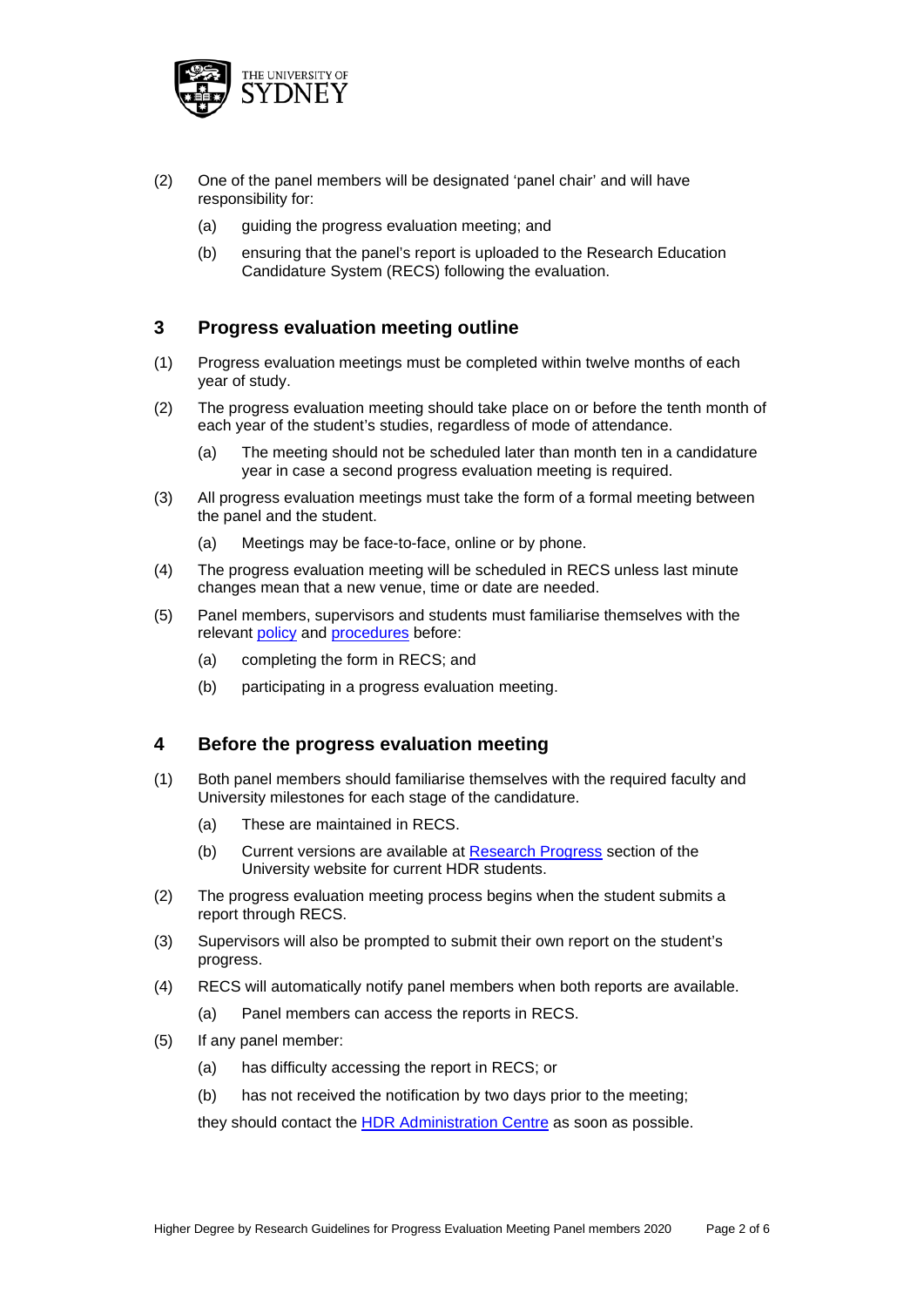

- (2) One of the panel members will be designated 'panel chair' and will have responsibility for:
	- (a) guiding the progress evaluation meeting; and
	- (b) ensuring that the panel's report is uploaded to the Research Education Candidature System (RECS) following the evaluation.

#### **3 Progress evaluation meeting outline**

- (1) Progress evaluation meetings must be completed within twelve months of each year of study.
- (2) The progress evaluation meeting should take place on or before the tenth month of each year of the student's studies, regardless of mode of attendance.
	- (a) The meeting should not be scheduled later than month ten in a candidature year in case a second progress evaluation meeting is required.
- (3) All progress evaluation meetings must take the form of a formal meeting between the panel and the student.
	- (a) Meetings may be face-to-face, online or by phone.
- (4) The progress evaluation meeting will be scheduled in RECS unless last minute changes mean that a new venue, time or date are needed.
- (5) Panel members, supervisors and students must familiarise themselves with the relevant [policy](http://sydney.edu.au/policies/showdoc.aspx?recnum=PDOC2015/403&RendNum=0) and [procedures](http://sydney.edu.au/policies/showdoc.aspx?recnum=PDOC2015/402&RendNum=0) before:
	- (a) completing the form in RECS; and
	- (b) participating in a progress evaluation meeting.

#### **4 Before the progress evaluation meeting**

- (1) Both panel members should familiarise themselves with the required faculty and University milestones for each stage of the candidature.
	- (a) These are maintained in RECS.
	- (b) Current versions are available at [Research Progress](https://www.sydney.edu.au/students/research-progress.html) section of the University website for current HDR students.
- (2) The progress evaluation meeting process begins when the student submits a report through RECS.
- (3) Supervisors will also be prompted to submit their own report on the student's progress.
- (4) RECS will automatically notify panel members when both reports are available.
	- (a) Panel members can access the reports in RECS.
- (5) If any panel member:
	- (a) has difficulty accessing the report in RECS; or
	- (b) has not received the notification by two days prior to the meeting;

they should contact the [HDR Administration Centre](mailto:%20hdrac.ops@sydney.edu.au) as soon as possible.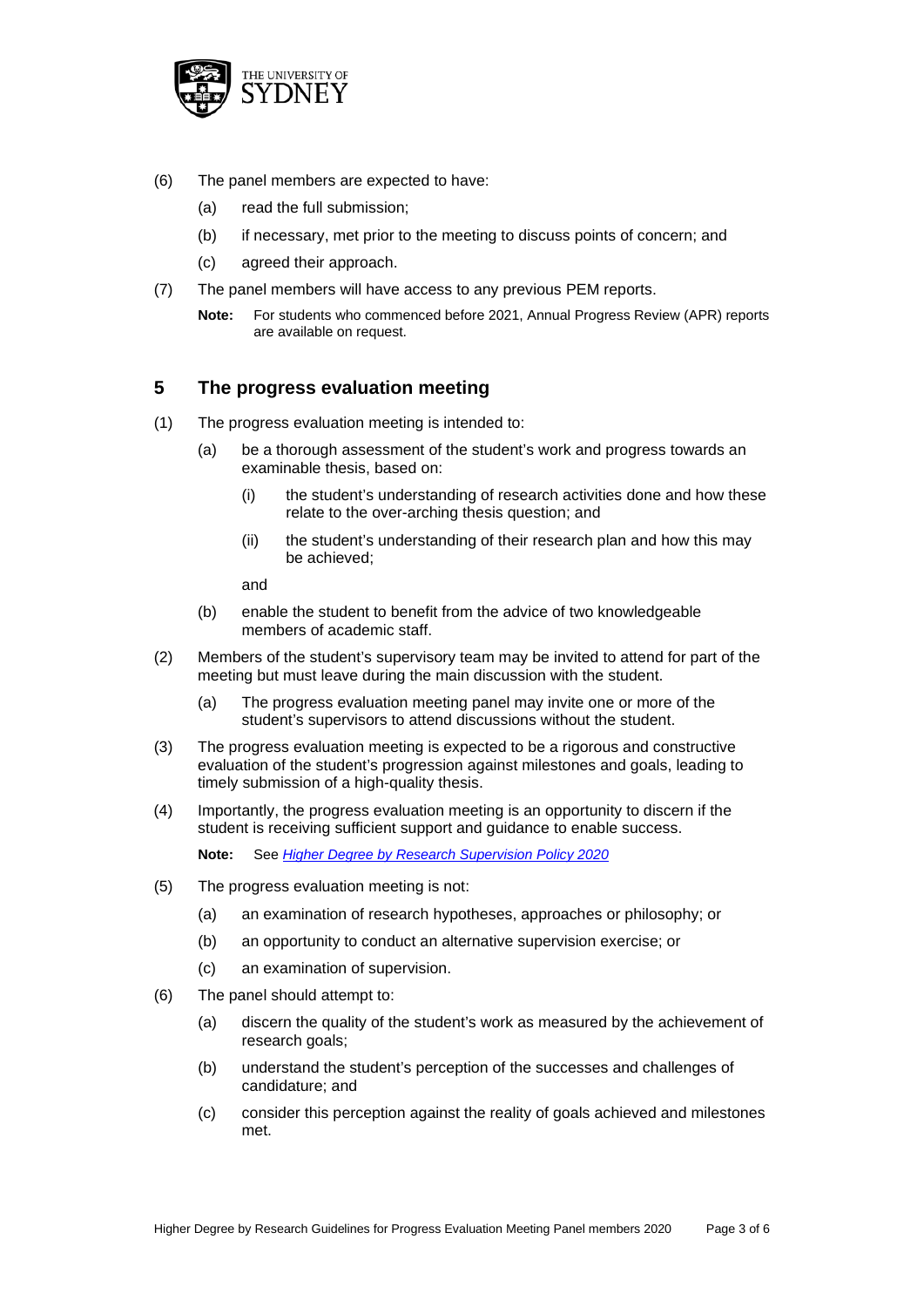

- (6) The panel members are expected to have:
	- (a) read the full submission;
	- (b) if necessary, met prior to the meeting to discuss points of concern; and
	- (c) agreed their approach.
- (7) The panel members will have access to any previous PEM reports.
	- **Note:** For students who commenced before 2021, Annual Progress Review (APR) reports are available on request.

#### **5 The progress evaluation meeting**

- (1) The progress evaluation meeting is intended to:
	- (a) be a thorough assessment of the student's work and progress towards an examinable thesis, based on:
		- (i) the student's understanding of research activities done and how these relate to the over-arching thesis question; and
		- (ii) the student's understanding of their research plan and how this may be achieved;

and

- (b) enable the student to benefit from the advice of two knowledgeable members of academic staff.
- (2) Members of the student's supervisory team may be invited to attend for part of the meeting but must leave during the main discussion with the student.
	- (a) The progress evaluation meeting panel may invite one or more of the student's supervisors to attend discussions without the student.
- (3) The progress evaluation meeting is expected to be a rigorous and constructive evaluation of the student's progression against milestones and goals, leading to timely submission of a high-quality thesis.
- (4) Importantly, the progress evaluation meeting is an opportunity to discern if the student is receiving sufficient support and guidance to enable success.

**Note:** See *[Higher Degree by Research Supervision Policy 2020](http://sydney.edu.au/policies/showdoc.aspx?recnum=PDOC2013/316&RendNum=0)*

- (5) The progress evaluation meeting is not:
	- (a) an examination of research hypotheses, approaches or philosophy; or
	- (b) an opportunity to conduct an alternative supervision exercise; or
	- (c) an examination of supervision.
- (6) The panel should attempt to:
	- (a) discern the quality of the student's work as measured by the achievement of research goals;
	- (b) understand the student's perception of the successes and challenges of candidature; and
	- (c) consider this perception against the reality of goals achieved and milestones met.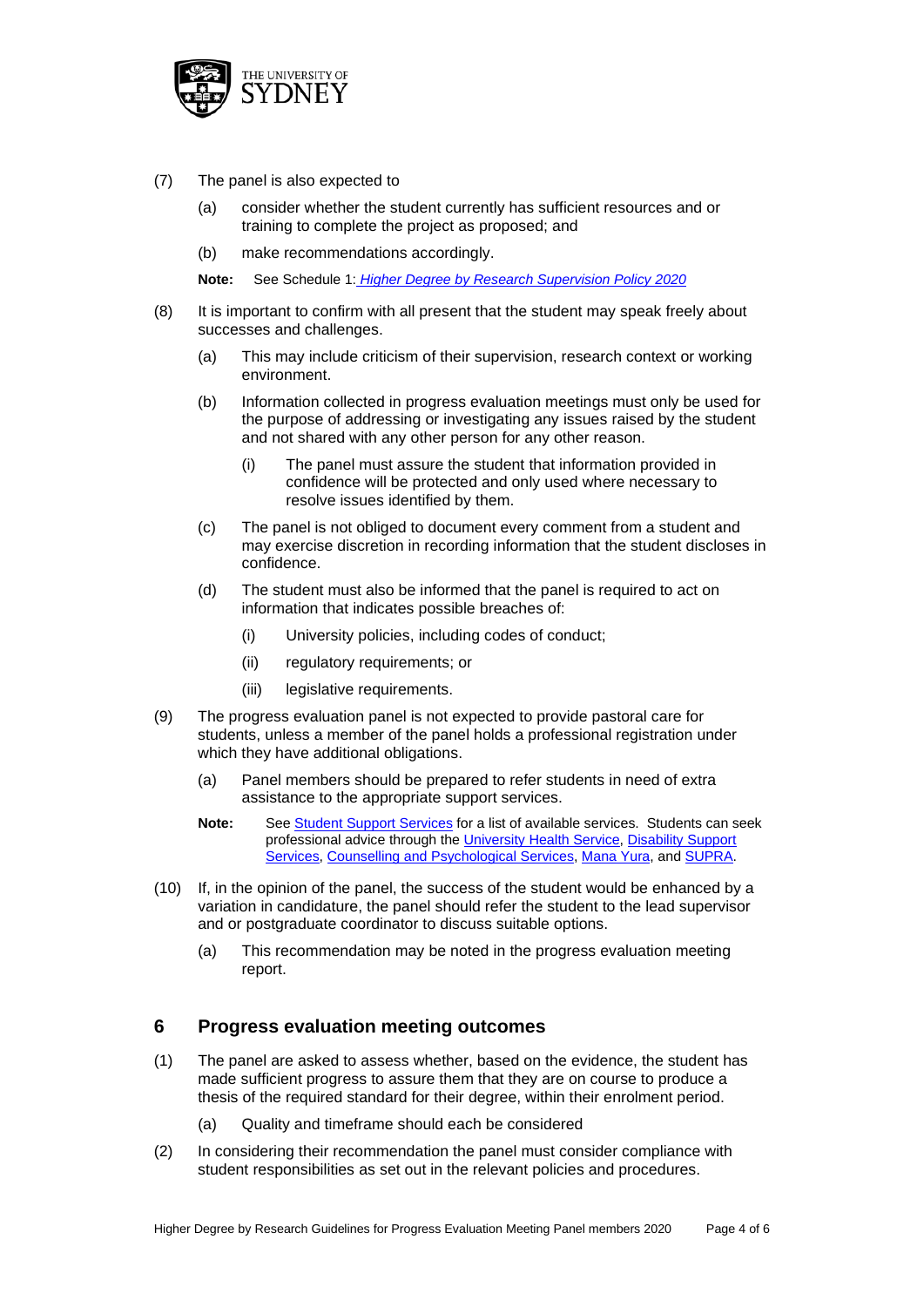

- (7) The panel is also expected to
	- (a) consider whether the student currently has sufficient resources and or training to complete the project as proposed; and
	- (b) make recommendations accordingly.

**Note:** See Schedule 1: *[Higher Degree by Research Supervision Policy 2020](http://sydney.edu.au/policies/showdoc.aspx?recnum=PDOC2013/316&RendNum=0)*

- (8) It is important to confirm with all present that the student may speak freely about successes and challenges.
	- (a) This may include criticism of their supervision, research context or working environment.
	- (b) Information collected in progress evaluation meetings must only be used for the purpose of addressing or investigating any issues raised by the student and not shared with any other person for any other reason.
		- (i) The panel must assure the student that information provided in confidence will be protected and only used where necessary to resolve issues identified by them.
	- (c) The panel is not obliged to document every comment from a student and may exercise discretion in recording information that the student discloses in confidence.
	- (d) The student must also be informed that the panel is required to act on information that indicates possible breaches of:
		- (i) University policies, including codes of conduct;
		- (ii) regulatory requirements; or
		- (iii) legislative requirements.
- (9) The progress evaluation panel is not expected to provide pastoral care for students, unless a member of the panel holds a professional registration under which they have additional obligations.
	- (a) Panel members should be prepared to refer students in need of extra assistance to the appropriate support services.
	- **Note:** See [Student Support Services](https://www.sydney.edu.au/students/staying-on-track/help-support.html) for a list of available services. Students can seek professional advice through the [University Health Service,](https://sydney.edu.au/students/health-services.html/) [Disability Support](https://sydney.edu.au/students/disability-support.html)  [Services,](https://sydney.edu.au/students/disability-support.html) [Counselling and Psychological Services,](http://sydney.edu.au/current_students/counselling/) [Mana Yura,](https://sydney.edu.au/students/support-and-safe-spaces.html) an[d SUPRA.](http://supra.net.au/)
- (10) If, in the opinion of the panel, the success of the student would be enhanced by a variation in candidature, the panel should refer the student to the lead supervisor and or postgraduate coordinator to discuss suitable options.
	- (a) This recommendation may be noted in the progress evaluation meeting report.

#### **6 Progress evaluation meeting outcomes**

- (1) The panel are asked to assess whether, based on the evidence, the student has made sufficient progress to assure them that they are on course to produce a thesis of the required standard for their degree, within their enrolment period.
	- (a) Quality and timeframe should each be considered
- (2) In considering their recommendation the panel must consider compliance with student responsibilities as set out in the relevant policies and procedures.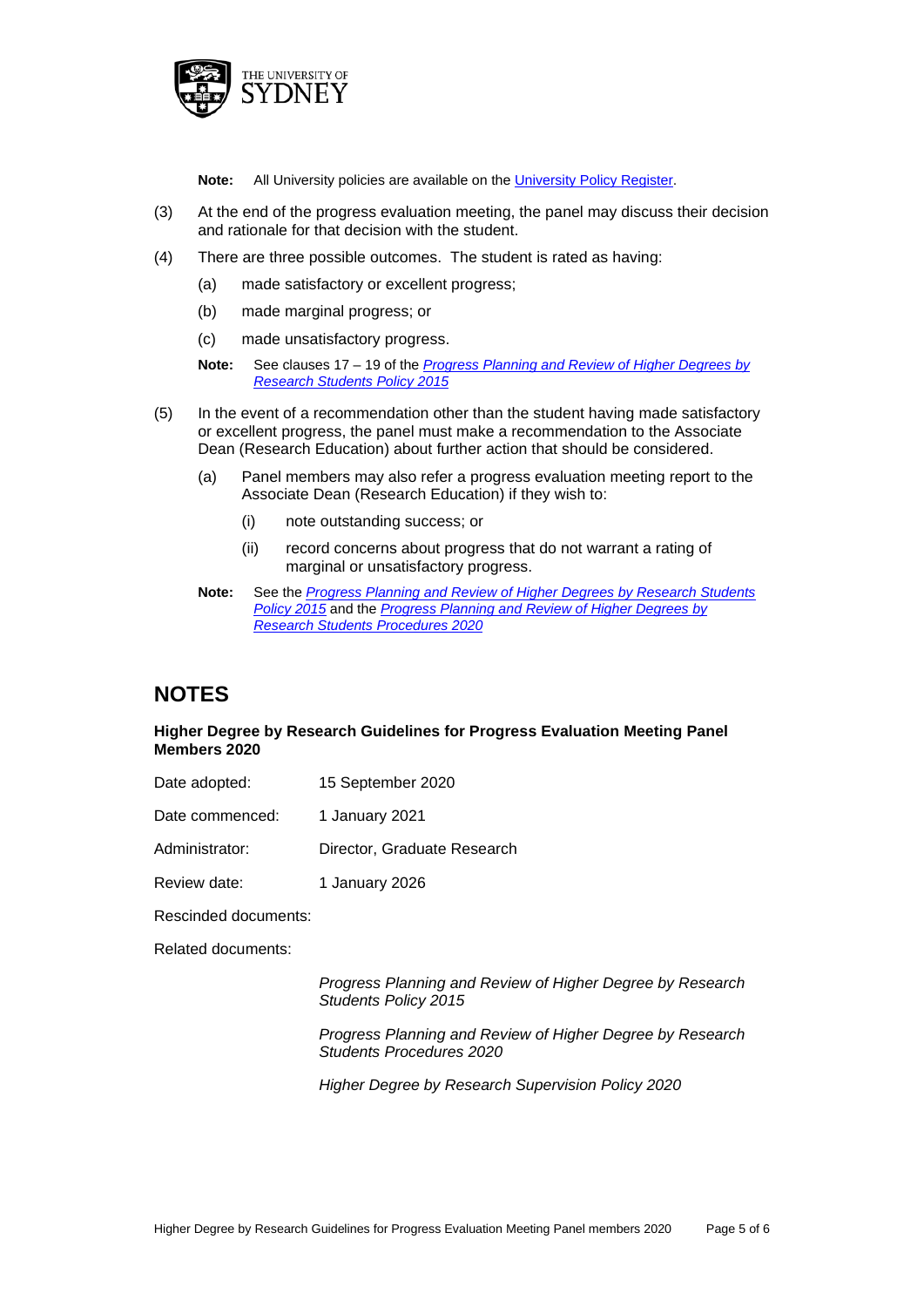

**Note:** All University policies are available on th[e University Policy Register.](http://sydney.edu.au/policies/showdoc.aspx?recnum=PDOC2012/270&RendNum=0)

- (3) At the end of the progress evaluation meeting, the panel may discuss their decision and rationale for that decision with the student.
- (4) There are three possible outcomes. The student is rated as having:
	- (a) made satisfactory or excellent progress;
	- (b) made marginal progress; or
	- (c) made unsatisfactory progress.

**Note:** See clauses 17 – 19 of the *[Progress Planning and Review of Higher Degrees by](http://sydney.edu.au/policies/showdoc.aspx?recnum=PDOC2015/403&RendNum=0)  [Research Students Policy 2015](http://sydney.edu.au/policies/showdoc.aspx?recnum=PDOC2015/403&RendNum=0)*

- (5) In the event of a recommendation other than the student having made satisfactory or excellent progress, the panel must make a recommendation to the Associate Dean (Research Education) about further action that should be considered.
	- (a) Panel members may also refer a progress evaluation meeting report to the Associate Dean (Research Education) if they wish to:
		- (i) note outstanding success; or
		- (ii) record concerns about progress that do not warrant a rating of marginal or unsatisfactory progress.

### **NOTES**

#### **Higher Degree by Research Guidelines for Progress Evaluation Meeting Panel Members 2020**

Date adopted: 15 September 2020

Date commenced: 1 January 2021

- Administrator: Director, Graduate Research
- Review date: 1 January 2026

Rescinded documents:

Related documents:

*Progress Planning and Review of Higher Degree by Research Students Policy 2015*

*Progress Planning and Review of Higher Degree by Research Students Procedures 2020*

*Higher Degree by Research Supervision Policy 2020*

**Note:** See the *[Progress Planning and Review of Higher Degrees by Research Students](http://sydney.edu.au/policies/showdoc.aspx?recnum=PDOC2015/403&RendNum=0)  [Policy 2015](http://sydney.edu.au/policies/showdoc.aspx?recnum=PDOC2015/403&RendNum=0)* and the *[Progress Planning and Review of Higher Degrees by](http://sydney.edu.au/policies/showdoc.aspx?recnum=PDOC2015/402&RendNum=0)  [Research Students Procedures 2020](http://sydney.edu.au/policies/showdoc.aspx?recnum=PDOC2015/402&RendNum=0)*